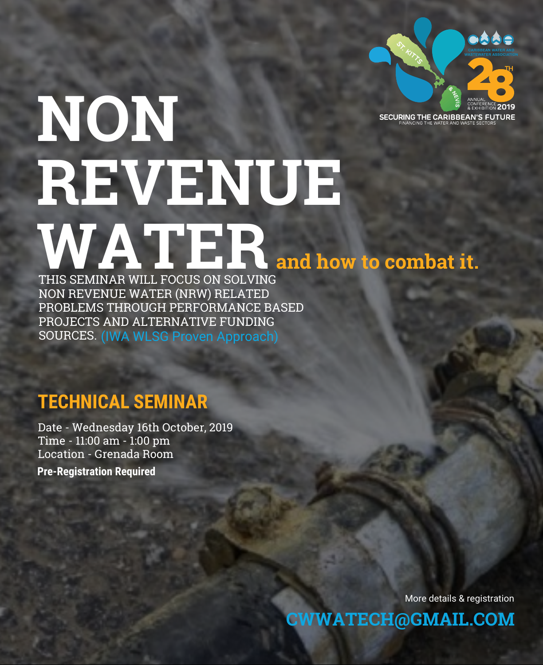

## **NON REVENUE** THIS SEMINAR WILL FOCUS ON SOLVING **and how to combat it.**

THIS SEMINAR WILL FOCUS ON SOLVING NON REVENUE WATER (NRW) RELATED PROBLEMS THROUGH PERFORMANCE BASED PROJECTS AND ALTERNATIVE FUNDING SOURCES. (IWA WLSG Proven Approach)

## **TECHNICAL SEMINAR**

Date - Wednesday 16th October, 2019 Time - 11:00 am - 1:00 pm Location - Grenada Room

**Pre-Registration Required**

More details & registration

**CWWATECH@GMAIL.COM**